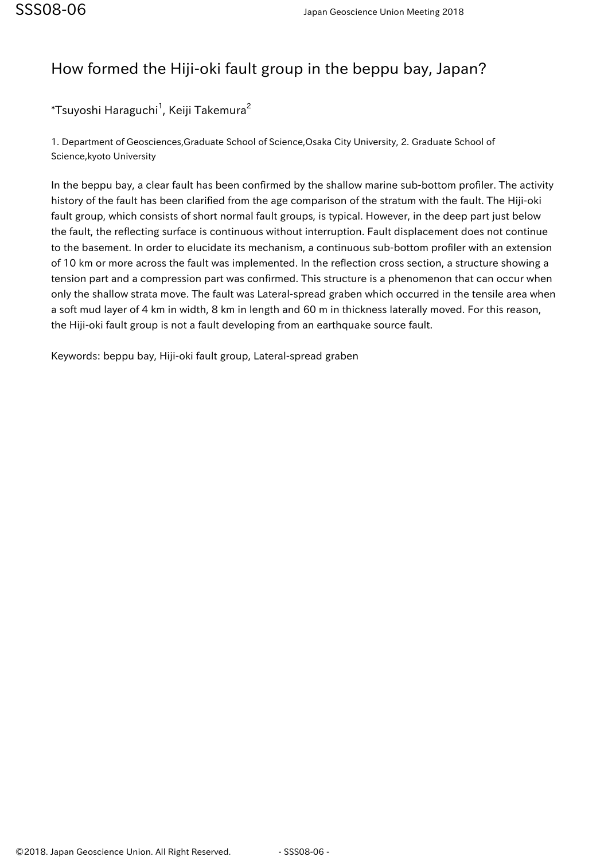## How formed the Hiji-oki fault group in the beppu bay, Japan?

 $^*$ Tsuyoshi Haraguchi $^1$ , Keiji Takemura $^2$ 

1. Department of Geosciences,Graduate School of Science,Osaka City University, 2. Graduate School of Science,kyoto University

In the beppu bay, a clear fault has been confirmed by the shallow marine sub-bottom profiler. The activity history of the fault has been clarified from the age comparison of the stratum with the fault. The Hiji-oki fault group, which consists of short normal fault groups, is typical. However, in the deep part just below the fault, the reflecting surface is continuous without interruption. Fault displacement does not continue to the basement. In order to elucidate its mechanism, a continuous sub-bottom profiler with an extension of 10 km or more across the fault was implemented. In the reflection cross section, a structure showing a tension part and a compression part was confirmed. This structure is a phenomenon that can occur when only the shallow strata move. The fault was Lateral-spread graben which occurred in the tensile area when a soft mud layer of 4 km in width, 8 km in length and 60 m in thickness laterally moved. For this reason, the Hiji-oki fault group is not a fault developing from an earthquake source fault.

Keywords: beppu bay, Hiji-oki fault group, Lateral-spread graben